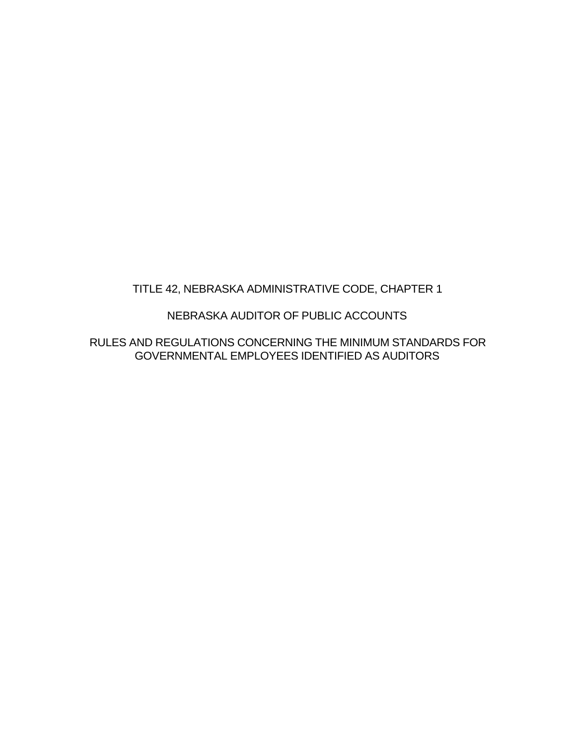## TITLE 42, NEBRASKA ADMINISTRATIVE CODE, CHAPTER 1

#### NEBRASKA AUDITOR OF PUBLIC ACCOUNTS

RULES AND REGULATIONS CONCERNING THE MINIMUM STANDARDS FOR GOVERNMENTAL EMPLOYEES IDENTIFIED AS AUDITORS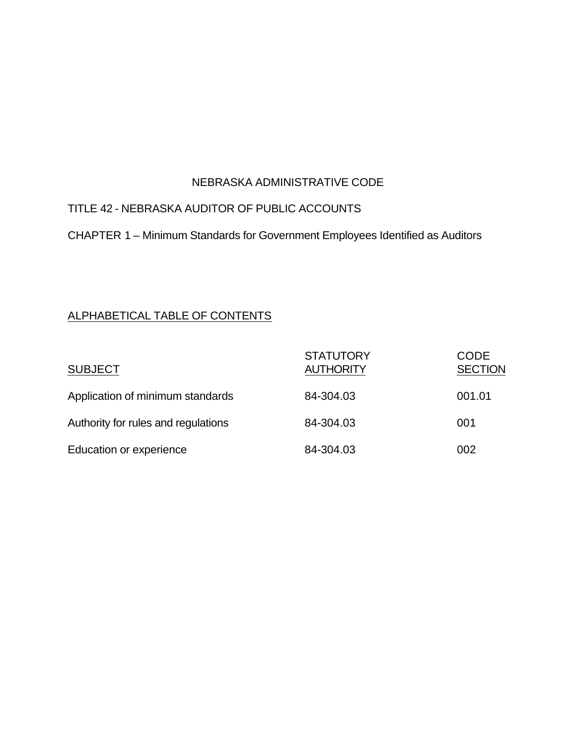#### NEBRASKA ADMINISTRATIVE CODE

## TITLE 42 - NEBRASKA AUDITOR OF PUBLIC ACCOUNTS

CHAPTER 1 – Minimum Standards for Government Employees Identified as Auditors

#### ALPHABETICAL TABLE OF CONTENTS

| <b>SUBJECT</b>                      | <b>STATUTORY</b><br><b>AUTHORITY</b> | <b>CODE</b><br><b>SECTION</b> |
|-------------------------------------|--------------------------------------|-------------------------------|
| Application of minimum standards    | 84-304.03                            | 001.01                        |
| Authority for rules and regulations | 84-304.03                            | 001                           |
| Education or experience             | 84-304.03                            | 002                           |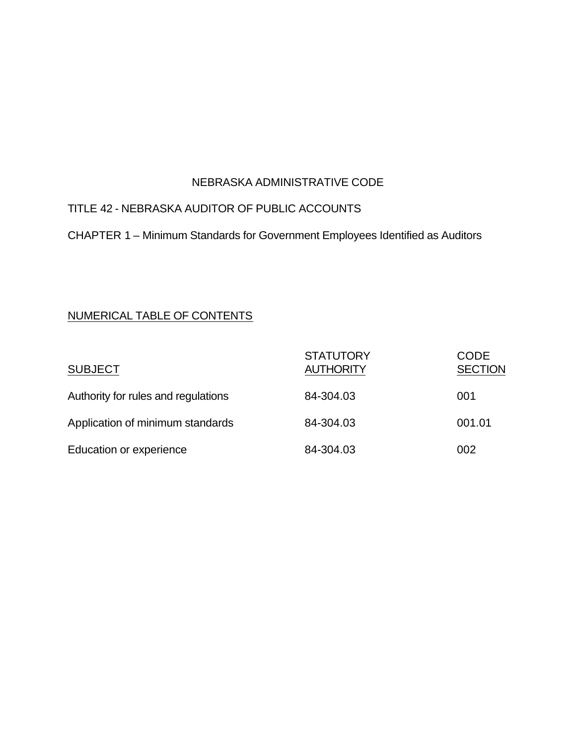### NEBRASKA ADMINISTRATIVE CODE

# TITLE 42 - NEBRASKA AUDITOR OF PUBLIC ACCOUNTS

CHAPTER 1 – Minimum Standards for Government Employees Identified as Auditors

#### NUMERICAL TABLE OF CONTENTS

| <b>SUBJECT</b>                      | <b>STATUTORY</b><br><b>AUTHORITY</b> | <b>CODE</b><br><b>SECTION</b> |
|-------------------------------------|--------------------------------------|-------------------------------|
| Authority for rules and regulations | 84-304.03                            | 001                           |
| Application of minimum standards    | 84-304.03                            | 001.01                        |
| Education or experience             | 84-304.03                            | 002                           |